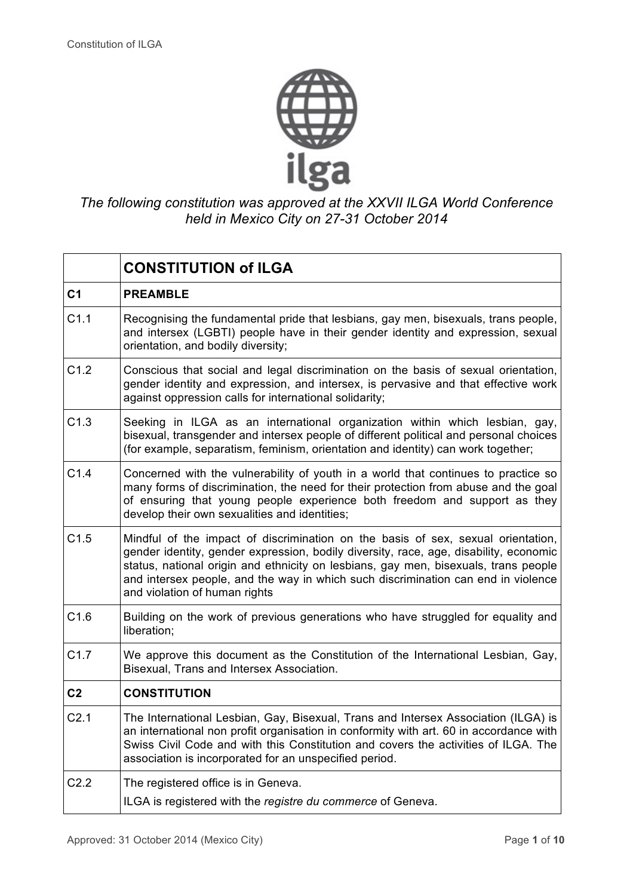

## *The following constitution was approved at the XXVII ILGA World Conference held in Mexico City on 27-31 October 2014*

|                  | <b>CONSTITUTION of ILGA</b>                                                                                                                                                                                                                                                                                                                                                            |
|------------------|----------------------------------------------------------------------------------------------------------------------------------------------------------------------------------------------------------------------------------------------------------------------------------------------------------------------------------------------------------------------------------------|
| C <sub>1</sub>   | <b>PREAMBLE</b>                                                                                                                                                                                                                                                                                                                                                                        |
| C1.1             | Recognising the fundamental pride that lesbians, gay men, bisexuals, trans people,<br>and intersex (LGBTI) people have in their gender identity and expression, sexual<br>orientation, and bodily diversity;                                                                                                                                                                           |
| C1.2             | Conscious that social and legal discrimination on the basis of sexual orientation,<br>gender identity and expression, and intersex, is pervasive and that effective work<br>against oppression calls for international solidarity;                                                                                                                                                     |
| C1.3             | Seeking in ILGA as an international organization within which lesbian, gay,<br>bisexual, transgender and intersex people of different political and personal choices<br>(for example, separatism, feminism, orientation and identity) can work together;                                                                                                                               |
| C1.4             | Concerned with the vulnerability of youth in a world that continues to practice so<br>many forms of discrimination, the need for their protection from abuse and the goal<br>of ensuring that young people experience both freedom and support as they<br>develop their own sexualities and identities;                                                                                |
| C1.5             | Mindful of the impact of discrimination on the basis of sex, sexual orientation,<br>gender identity, gender expression, bodily diversity, race, age, disability, economic<br>status, national origin and ethnicity on lesbians, gay men, bisexuals, trans people<br>and intersex people, and the way in which such discrimination can end in violence<br>and violation of human rights |
| C1.6             | Building on the work of previous generations who have struggled for equality and<br>liberation;                                                                                                                                                                                                                                                                                        |
| C1.7             | We approve this document as the Constitution of the International Lesbian, Gay,<br>Bisexual, Trans and Intersex Association.                                                                                                                                                                                                                                                           |
| C <sub>2</sub>   | <b>CONSTITUTION</b>                                                                                                                                                                                                                                                                                                                                                                    |
| C <sub>2.1</sub> | The International Lesbian, Gay, Bisexual, Trans and Intersex Association (ILGA) is<br>an international non profit organisation in conformity with art. 60 in accordance with<br>Swiss Civil Code and with this Constitution and covers the activities of ILGA. The<br>association is incorporated for an unspecified period.                                                           |
| C2.2             | The registered office is in Geneva.<br>ILGA is registered with the registre du commerce of Geneva.                                                                                                                                                                                                                                                                                     |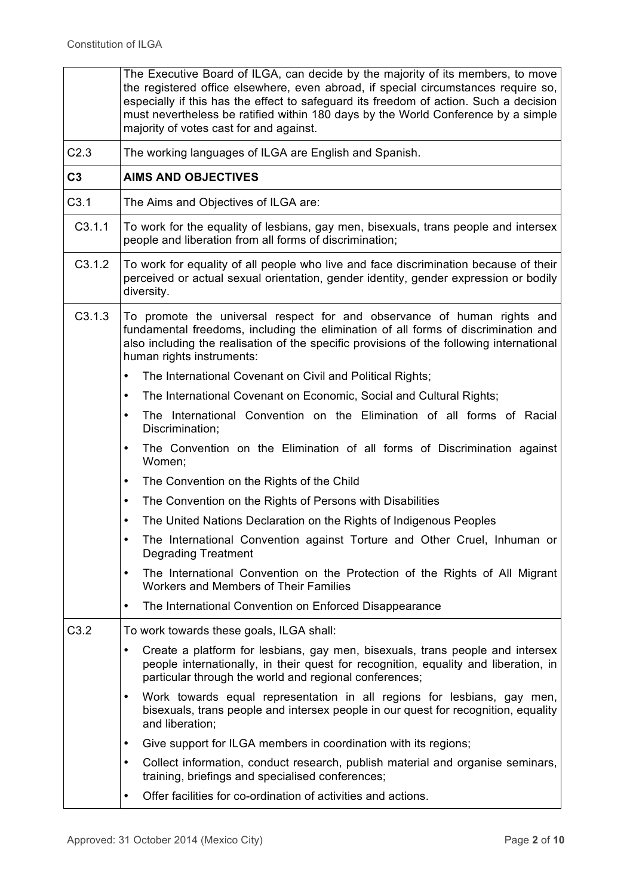|                  | The Executive Board of ILGA, can decide by the majority of its members, to move<br>the registered office elsewhere, even abroad, if special circumstances require so,<br>especially if this has the effect to safeguard its freedom of action. Such a decision<br>must nevertheless be ratified within 180 days by the World Conference by a simple<br>majority of votes cast for and against. |
|------------------|------------------------------------------------------------------------------------------------------------------------------------------------------------------------------------------------------------------------------------------------------------------------------------------------------------------------------------------------------------------------------------------------|
| C <sub>2.3</sub> | The working languages of ILGA are English and Spanish.                                                                                                                                                                                                                                                                                                                                         |
| C <sub>3</sub>   | <b>AIMS AND OBJECTIVES</b>                                                                                                                                                                                                                                                                                                                                                                     |
| C3.1             | The Aims and Objectives of ILGA are:                                                                                                                                                                                                                                                                                                                                                           |
| C3.1.1           | To work for the equality of lesbians, gay men, bisexuals, trans people and intersex<br>people and liberation from all forms of discrimination;                                                                                                                                                                                                                                                 |
| C3.1.2           | To work for equality of all people who live and face discrimination because of their<br>perceived or actual sexual orientation, gender identity, gender expression or bodily<br>diversity.                                                                                                                                                                                                     |
| C3.1.3           | To promote the universal respect for and observance of human rights and<br>fundamental freedoms, including the elimination of all forms of discrimination and<br>also including the realisation of the specific provisions of the following international<br>human rights instruments:                                                                                                         |
|                  | The International Covenant on Civil and Political Rights;<br>$\bullet$                                                                                                                                                                                                                                                                                                                         |
|                  | The International Covenant on Economic, Social and Cultural Rights;<br>$\bullet$                                                                                                                                                                                                                                                                                                               |
|                  | The International Convention on the Elimination of all forms of Racial<br>$\bullet$<br>Discrimination;                                                                                                                                                                                                                                                                                         |
|                  | The Convention on the Elimination of all forms of Discrimination against<br>Women;                                                                                                                                                                                                                                                                                                             |
|                  | The Convention on the Rights of the Child<br>٠                                                                                                                                                                                                                                                                                                                                                 |
|                  | The Convention on the Rights of Persons with Disabilities<br>$\bullet$                                                                                                                                                                                                                                                                                                                         |
|                  | The United Nations Declaration on the Rights of Indigenous Peoples                                                                                                                                                                                                                                                                                                                             |
|                  | The International Convention against Torture and Other Cruel, Inhuman or<br><b>Degrading Treatment</b>                                                                                                                                                                                                                                                                                         |
|                  | The International Convention on the Protection of the Rights of All Migrant<br>$\bullet$<br>Workers and Members of Their Families                                                                                                                                                                                                                                                              |
|                  | The International Convention on Enforced Disappearance                                                                                                                                                                                                                                                                                                                                         |
| C3.2             | To work towards these goals, ILGA shall:                                                                                                                                                                                                                                                                                                                                                       |
|                  | Create a platform for lesbians, gay men, bisexuals, trans people and intersex<br>$\bullet$<br>people internationally, in their quest for recognition, equality and liberation, in<br>particular through the world and regional conferences;                                                                                                                                                    |
|                  | Work towards equal representation in all regions for lesbians, gay men,<br>٠<br>bisexuals, trans people and intersex people in our quest for recognition, equality<br>and liberation;                                                                                                                                                                                                          |
|                  | Give support for ILGA members in coordination with its regions;<br>٠                                                                                                                                                                                                                                                                                                                           |
|                  | Collect information, conduct research, publish material and organise seminars,<br>$\bullet$<br>training, briefings and specialised conferences;                                                                                                                                                                                                                                                |
|                  | Offer facilities for co-ordination of activities and actions.<br>$\bullet$                                                                                                                                                                                                                                                                                                                     |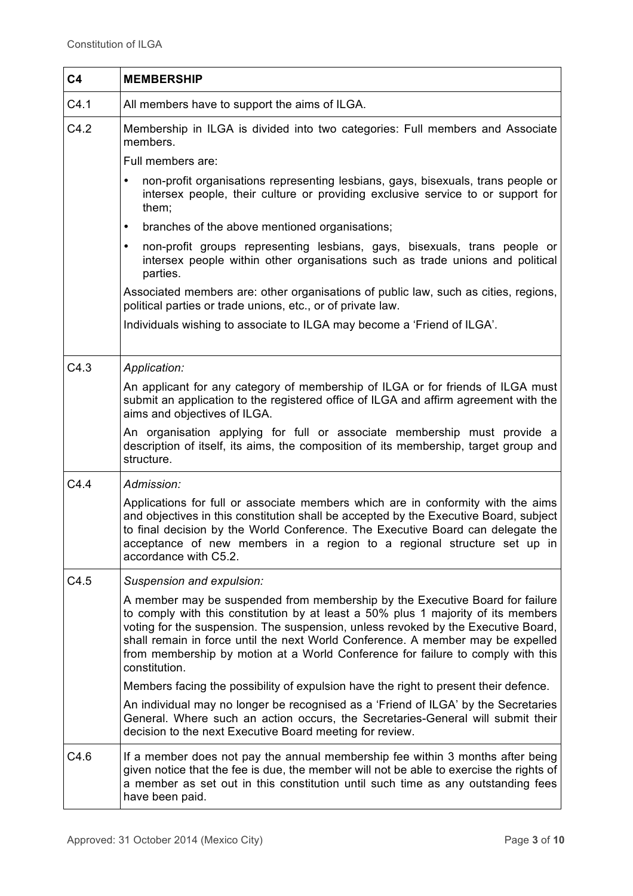| C <sub>4</sub> | <b>MEMBERSHIP</b>                                                                                                                                                                                                                                                                                                                                                                                                                             |
|----------------|-----------------------------------------------------------------------------------------------------------------------------------------------------------------------------------------------------------------------------------------------------------------------------------------------------------------------------------------------------------------------------------------------------------------------------------------------|
| C4.1           | All members have to support the aims of ILGA.                                                                                                                                                                                                                                                                                                                                                                                                 |
| C4.2           | Membership in ILGA is divided into two categories: Full members and Associate<br>members.                                                                                                                                                                                                                                                                                                                                                     |
|                | Full members are:                                                                                                                                                                                                                                                                                                                                                                                                                             |
|                | non-profit organisations representing lesbians, gays, bisexuals, trans people or<br>$\bullet$<br>intersex people, their culture or providing exclusive service to or support for<br>them;                                                                                                                                                                                                                                                     |
|                | branches of the above mentioned organisations;<br>٠                                                                                                                                                                                                                                                                                                                                                                                           |
|                | non-profit groups representing lesbians, gays, bisexuals, trans people or<br>$\bullet$<br>intersex people within other organisations such as trade unions and political<br>parties.                                                                                                                                                                                                                                                           |
|                | Associated members are: other organisations of public law, such as cities, regions,<br>political parties or trade unions, etc., or of private law.                                                                                                                                                                                                                                                                                            |
|                | Individuals wishing to associate to ILGA may become a 'Friend of ILGA'.                                                                                                                                                                                                                                                                                                                                                                       |
| C4.3           | Application:                                                                                                                                                                                                                                                                                                                                                                                                                                  |
|                | An applicant for any category of membership of ILGA or for friends of ILGA must<br>submit an application to the registered office of ILGA and affirm agreement with the<br>aims and objectives of ILGA.                                                                                                                                                                                                                                       |
|                | An organisation applying for full or associate membership must provide a<br>description of itself, its aims, the composition of its membership, target group and<br>structure.                                                                                                                                                                                                                                                                |
| C4.4           | Admission:                                                                                                                                                                                                                                                                                                                                                                                                                                    |
|                | Applications for full or associate members which are in conformity with the aims<br>and objectives in this constitution shall be accepted by the Executive Board, subject<br>to final decision by the World Conference. The Executive Board can delegate the<br>acceptance of new members in a region to a regional structure set up in<br>accordance with C5.2.                                                                              |
| C4.5           | Suspension and expulsion:                                                                                                                                                                                                                                                                                                                                                                                                                     |
|                | A member may be suspended from membership by the Executive Board for failure<br>to comply with this constitution by at least a 50% plus 1 majority of its members<br>voting for the suspension. The suspension, unless revoked by the Executive Board,<br>shall remain in force until the next World Conference. A member may be expelled<br>from membership by motion at a World Conference for failure to comply with this<br>constitution. |
|                | Members facing the possibility of expulsion have the right to present their defence.                                                                                                                                                                                                                                                                                                                                                          |
|                | An individual may no longer be recognised as a 'Friend of ILGA' by the Secretaries<br>General. Where such an action occurs, the Secretaries-General will submit their<br>decision to the next Executive Board meeting for review.                                                                                                                                                                                                             |
| C4.6           | If a member does not pay the annual membership fee within 3 months after being<br>given notice that the fee is due, the member will not be able to exercise the rights of<br>a member as set out in this constitution until such time as any outstanding fees<br>have been paid.                                                                                                                                                              |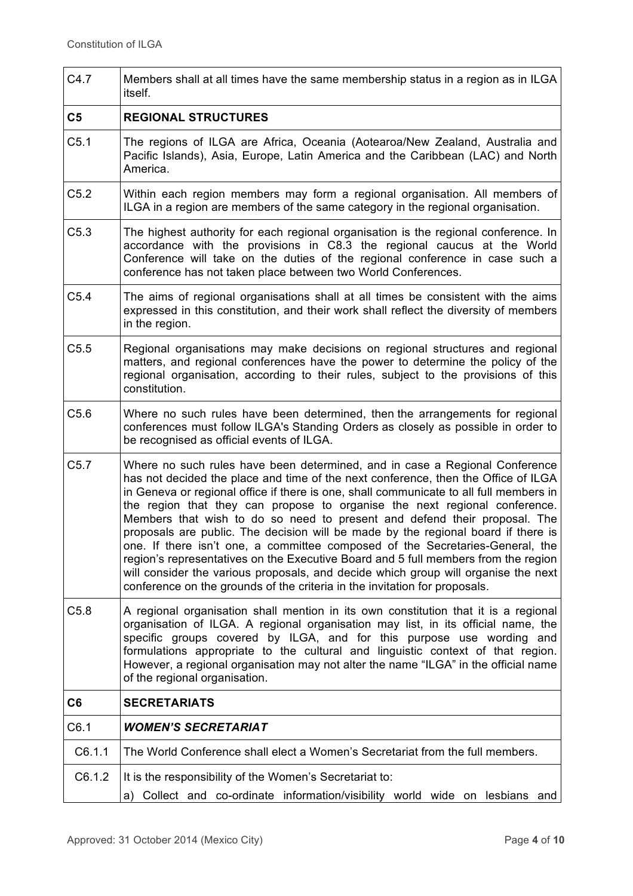| C4.7           | Members shall at all times have the same membership status in a region as in ILGA<br><i>itself.</i>                                                                                                                                                                                                                                                                                                                                                                                                                                                                                                                                                                                                                                                                                                                                                    |
|----------------|--------------------------------------------------------------------------------------------------------------------------------------------------------------------------------------------------------------------------------------------------------------------------------------------------------------------------------------------------------------------------------------------------------------------------------------------------------------------------------------------------------------------------------------------------------------------------------------------------------------------------------------------------------------------------------------------------------------------------------------------------------------------------------------------------------------------------------------------------------|
| C <sub>5</sub> | <b>REGIONAL STRUCTURES</b>                                                                                                                                                                                                                                                                                                                                                                                                                                                                                                                                                                                                                                                                                                                                                                                                                             |
| C5.1           | The regions of ILGA are Africa, Oceania (Aotearoa/New Zealand, Australia and<br>Pacific Islands), Asia, Europe, Latin America and the Caribbean (LAC) and North<br>America.                                                                                                                                                                                                                                                                                                                                                                                                                                                                                                                                                                                                                                                                            |
| C5.2           | Within each region members may form a regional organisation. All members of<br>ILGA in a region are members of the same category in the regional organisation.                                                                                                                                                                                                                                                                                                                                                                                                                                                                                                                                                                                                                                                                                         |
| C5.3           | The highest authority for each regional organisation is the regional conference. In<br>accordance with the provisions in C8.3 the regional caucus at the World<br>Conference will take on the duties of the regional conference in case such a<br>conference has not taken place between two World Conferences.                                                                                                                                                                                                                                                                                                                                                                                                                                                                                                                                        |
| C5.4           | The aims of regional organisations shall at all times be consistent with the aims<br>expressed in this constitution, and their work shall reflect the diversity of members<br>in the region.                                                                                                                                                                                                                                                                                                                                                                                                                                                                                                                                                                                                                                                           |
| C5.5           | Regional organisations may make decisions on regional structures and regional<br>matters, and regional conferences have the power to determine the policy of the<br>regional organisation, according to their rules, subject to the provisions of this<br>constitution.                                                                                                                                                                                                                                                                                                                                                                                                                                                                                                                                                                                |
| C5.6           | Where no such rules have been determined, then the arrangements for regional<br>conferences must follow ILGA's Standing Orders as closely as possible in order to<br>be recognised as official events of ILGA.                                                                                                                                                                                                                                                                                                                                                                                                                                                                                                                                                                                                                                         |
| C5.7           | Where no such rules have been determined, and in case a Regional Conference<br>has not decided the place and time of the next conference, then the Office of ILGA<br>in Geneva or regional office if there is one, shall communicate to all full members in<br>the region that they can propose to organise the next regional conference.<br>Members that wish to do so need to present and defend their proposal. The<br>proposals are public. The decision will be made by the regional board if there is<br>one. If there isn't one, a committee composed of the Secretaries-General, the<br>region's representatives on the Executive Board and 5 full members from the region<br>will consider the various proposals, and decide which group will organise the next<br>conference on the grounds of the criteria in the invitation for proposals. |
| C5.8           | A regional organisation shall mention in its own constitution that it is a regional<br>organisation of ILGA. A regional organisation may list, in its official name, the<br>specific groups covered by ILGA, and for this purpose use wording and<br>formulations appropriate to the cultural and linguistic context of that region.<br>However, a regional organisation may not alter the name "ILGA" in the official name<br>of the regional organisation.                                                                                                                                                                                                                                                                                                                                                                                           |
| C <sub>6</sub> | <b>SECRETARIATS</b>                                                                                                                                                                                                                                                                                                                                                                                                                                                                                                                                                                                                                                                                                                                                                                                                                                    |
| C6.1           | <b>WOMEN'S SECRETARIAT</b>                                                                                                                                                                                                                                                                                                                                                                                                                                                                                                                                                                                                                                                                                                                                                                                                                             |
| C6.1.1         | The World Conference shall elect a Women's Secretariat from the full members.                                                                                                                                                                                                                                                                                                                                                                                                                                                                                                                                                                                                                                                                                                                                                                          |
| C6.1.2         | It is the responsibility of the Women's Secretariat to:<br>a) Collect and co-ordinate information/visibility world wide on lesbians and                                                                                                                                                                                                                                                                                                                                                                                                                                                                                                                                                                                                                                                                                                                |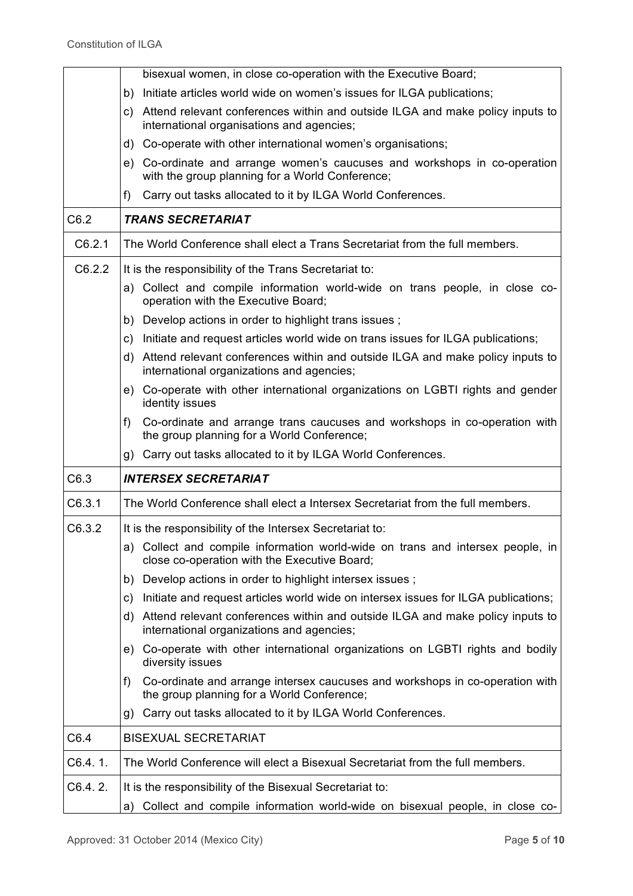|         | bisexual women, in close co-operation with the Executive Board;                                                                  |
|---------|----------------------------------------------------------------------------------------------------------------------------------|
|         | Initiate articles world wide on women's issues for ILGA publications;<br>b)                                                      |
|         | Attend relevant conferences within and outside ILGA and make policy inputs to<br>C)                                              |
|         | international organisations and agencies;                                                                                        |
|         | d) Co-operate with other international women's organisations;                                                                    |
|         | e) Co-ordinate and arrange women's caucuses and workshops in co-operation<br>with the group planning for a World Conference;     |
|         | Carry out tasks allocated to it by ILGA World Conferences.<br>f)                                                                 |
| C6.2    | <b>TRANS SECRETARIAT</b>                                                                                                         |
| C6.2.1  | The World Conference shall elect a Trans Secretariat from the full members.                                                      |
| C6.2.2  | It is the responsibility of the Trans Secretariat to:                                                                            |
|         | a) Collect and compile information world-wide on trans people, in close co-<br>operation with the Executive Board;               |
|         | b) Develop actions in order to highlight trans issues;                                                                           |
|         | Initiate and request articles world wide on trans issues for ILGA publications;<br>C)                                            |
|         | d) Attend relevant conferences within and outside ILGA and make policy inputs to<br>international organizations and agencies;    |
|         | e) Co-operate with other international organizations on LGBTI rights and gender<br>identity issues                               |
|         | Co-ordinate and arrange trans caucuses and workshops in co-operation with<br>f)<br>the group planning for a World Conference;    |
|         | Carry out tasks allocated to it by ILGA World Conferences.<br>g)                                                                 |
| C6.3    | <b>INTERSEX SECRETARIAT</b>                                                                                                      |
| C6.3.1  | The World Conference shall elect a Intersex Secretariat from the full members.                                                   |
| C6.3.2  | It is the responsibility of the Intersex Secretariat to:                                                                         |
|         | a) Collect and compile information world-wide on trans and intersex people, in<br>close co-operation with the Executive Board;   |
|         | b) Develop actions in order to highlight intersex issues;                                                                        |
|         | Initiate and request articles world wide on intersex issues for ILGA publications;<br>C)                                         |
|         | Attend relevant conferences within and outside ILGA and make policy inputs to<br>d)<br>international organizations and agencies; |
|         | Co-operate with other international organizations on LGBTI rights and bodily<br>e)<br>diversity issues                           |
|         | Co-ordinate and arrange intersex caucuses and workshops in co-operation with<br>f)<br>the group planning for a World Conference; |
|         | Carry out tasks allocated to it by ILGA World Conferences.<br>g)                                                                 |
| C6.4    | <b>BISEXUAL SECRETARIAT</b>                                                                                                      |
|         |                                                                                                                                  |
| C6.4.1. | The World Conference will elect a Bisexual Secretariat from the full members.                                                    |
| C6.4.2. | It is the responsibility of the Bisexual Secretariat to:                                                                         |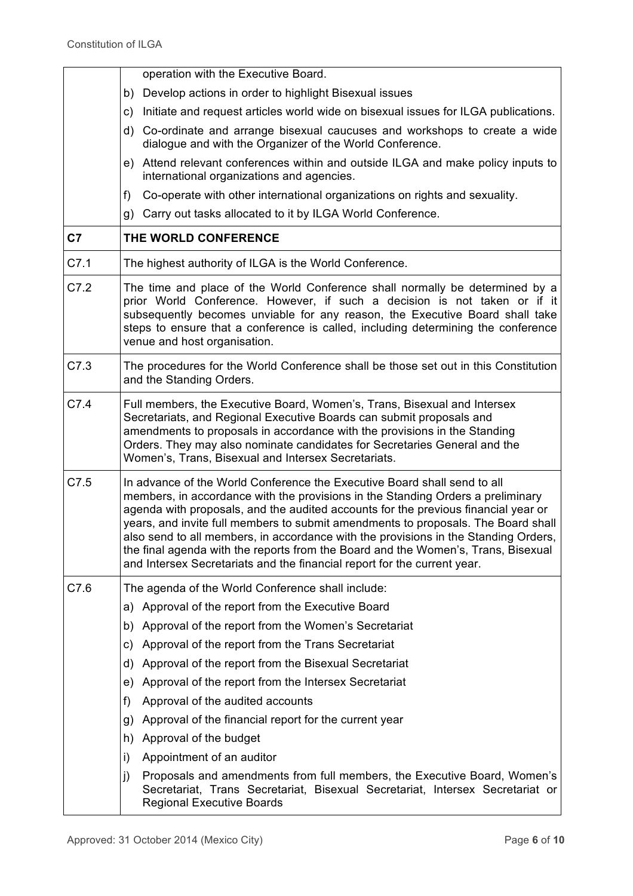|                | operation with the Executive Board.                                                                                                                                                                                                                                                                                                                                                                                                                                                                                                                                                            |
|----------------|------------------------------------------------------------------------------------------------------------------------------------------------------------------------------------------------------------------------------------------------------------------------------------------------------------------------------------------------------------------------------------------------------------------------------------------------------------------------------------------------------------------------------------------------------------------------------------------------|
|                | Develop actions in order to highlight Bisexual issues<br>b)                                                                                                                                                                                                                                                                                                                                                                                                                                                                                                                                    |
|                | Initiate and request articles world wide on bisexual issues for ILGA publications.<br>C)                                                                                                                                                                                                                                                                                                                                                                                                                                                                                                       |
|                | Co-ordinate and arrange bisexual caucuses and workshops to create a wide<br>d)<br>dialogue and with the Organizer of the World Conference.                                                                                                                                                                                                                                                                                                                                                                                                                                                     |
|                | Attend relevant conferences within and outside ILGA and make policy inputs to<br>e)<br>international organizations and agencies.                                                                                                                                                                                                                                                                                                                                                                                                                                                               |
|                | Co-operate with other international organizations on rights and sexuality.<br>f)                                                                                                                                                                                                                                                                                                                                                                                                                                                                                                               |
|                | Carry out tasks allocated to it by ILGA World Conference.<br>g)                                                                                                                                                                                                                                                                                                                                                                                                                                                                                                                                |
| C <sub>7</sub> | THE WORLD CONFERENCE                                                                                                                                                                                                                                                                                                                                                                                                                                                                                                                                                                           |
| C7.1           | The highest authority of ILGA is the World Conference.                                                                                                                                                                                                                                                                                                                                                                                                                                                                                                                                         |
| C7.2           | The time and place of the World Conference shall normally be determined by a<br>prior World Conference. However, if such a decision is not taken or if it<br>subsequently becomes unviable for any reason, the Executive Board shall take<br>steps to ensure that a conference is called, including determining the conference<br>venue and host organisation.                                                                                                                                                                                                                                 |
| C7.3           | The procedures for the World Conference shall be those set out in this Constitution<br>and the Standing Orders.                                                                                                                                                                                                                                                                                                                                                                                                                                                                                |
| C7.4           | Full members, the Executive Board, Women's, Trans, Bisexual and Intersex<br>Secretariats, and Regional Executive Boards can submit proposals and<br>amendments to proposals in accordance with the provisions in the Standing<br>Orders. They may also nominate candidates for Secretaries General and the<br>Women's, Trans, Bisexual and Intersex Secretariats.                                                                                                                                                                                                                              |
| C7.5           | In advance of the World Conference the Executive Board shall send to all<br>members, in accordance with the provisions in the Standing Orders a preliminary<br>agenda with proposals, and the audited accounts for the previous financial year or<br>years, and invite full members to submit amendments to proposals. The Board shall<br>also send to all members, in accordance with the provisions in the Standing Orders,<br>the final agenda with the reports from the Board and the Women's, Trans, Bisexual<br>and Intersex Secretariats and the financial report for the current year. |
| C7.6           | The agenda of the World Conference shall include:                                                                                                                                                                                                                                                                                                                                                                                                                                                                                                                                              |
|                | a) Approval of the report from the Executive Board                                                                                                                                                                                                                                                                                                                                                                                                                                                                                                                                             |
|                | Approval of the report from the Women's Secretariat<br>b)                                                                                                                                                                                                                                                                                                                                                                                                                                                                                                                                      |
|                | Approval of the report from the Trans Secretariat<br>C)                                                                                                                                                                                                                                                                                                                                                                                                                                                                                                                                        |
|                | Approval of the report from the Bisexual Secretariat<br>d)                                                                                                                                                                                                                                                                                                                                                                                                                                                                                                                                     |
|                | Approval of the report from the Intersex Secretariat<br>e)                                                                                                                                                                                                                                                                                                                                                                                                                                                                                                                                     |
|                | Approval of the audited accounts<br>f)                                                                                                                                                                                                                                                                                                                                                                                                                                                                                                                                                         |
|                | Approval of the financial report for the current year<br>g)                                                                                                                                                                                                                                                                                                                                                                                                                                                                                                                                    |
|                | Approval of the budget<br>h)                                                                                                                                                                                                                                                                                                                                                                                                                                                                                                                                                                   |
|                | Appointment of an auditor<br>i)                                                                                                                                                                                                                                                                                                                                                                                                                                                                                                                                                                |
|                | Proposals and amendments from full members, the Executive Board, Women's<br>j)<br>Secretariat, Trans Secretariat, Bisexual Secretariat, Intersex Secretariat or<br><b>Regional Executive Boards</b>                                                                                                                                                                                                                                                                                                                                                                                            |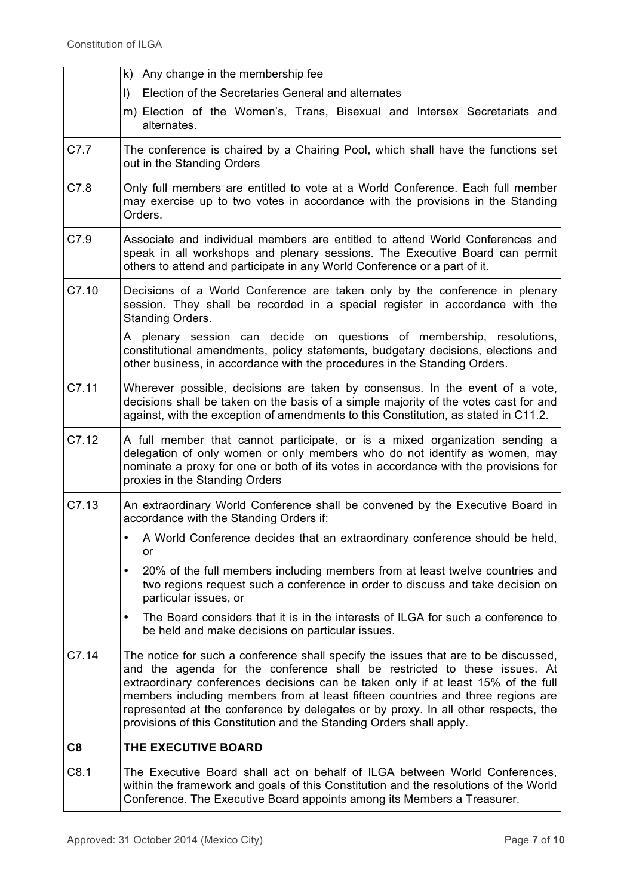|                | k) Any change in the membership fee                                                                                                                                                                                                                                                                                                                                                                                                                                                                    |
|----------------|--------------------------------------------------------------------------------------------------------------------------------------------------------------------------------------------------------------------------------------------------------------------------------------------------------------------------------------------------------------------------------------------------------------------------------------------------------------------------------------------------------|
|                | Election of the Secretaries General and alternates<br>$\vert$ )                                                                                                                                                                                                                                                                                                                                                                                                                                        |
|                | m) Election of the Women's, Trans, Bisexual and Intersex Secretariats and<br>alternates.                                                                                                                                                                                                                                                                                                                                                                                                               |
| C7.7           | The conference is chaired by a Chairing Pool, which shall have the functions set<br>out in the Standing Orders                                                                                                                                                                                                                                                                                                                                                                                         |
| C7.8           | Only full members are entitled to vote at a World Conference. Each full member<br>may exercise up to two votes in accordance with the provisions in the Standing<br>Orders.                                                                                                                                                                                                                                                                                                                            |
| C7.9           | Associate and individual members are entitled to attend World Conferences and<br>speak in all workshops and plenary sessions. The Executive Board can permit<br>others to attend and participate in any World Conference or a part of it.                                                                                                                                                                                                                                                              |
| C7.10          | Decisions of a World Conference are taken only by the conference in plenary<br>session. They shall be recorded in a special register in accordance with the<br>Standing Orders.                                                                                                                                                                                                                                                                                                                        |
|                | A plenary session can decide on questions of membership, resolutions,<br>constitutional amendments, policy statements, budgetary decisions, elections and<br>other business, in accordance with the procedures in the Standing Orders.                                                                                                                                                                                                                                                                 |
| C7.11          | Wherever possible, decisions are taken by consensus. In the event of a vote,<br>decisions shall be taken on the basis of a simple majority of the votes cast for and<br>against, with the exception of amendments to this Constitution, as stated in C11.2.                                                                                                                                                                                                                                            |
| C7.12          | A full member that cannot participate, or is a mixed organization sending a<br>delegation of only women or only members who do not identify as women, may<br>nominate a proxy for one or both of its votes in accordance with the provisions for<br>proxies in the Standing Orders                                                                                                                                                                                                                     |
| C7.13          | An extraordinary World Conference shall be convened by the Executive Board in<br>accordance with the Standing Orders if:                                                                                                                                                                                                                                                                                                                                                                               |
|                | A World Conference decides that an extraordinary conference should be held,<br>or                                                                                                                                                                                                                                                                                                                                                                                                                      |
|                | 20% of the full members including members from at least twelve countries and<br>$\bullet$<br>two regions request such a conference in order to discuss and take decision on<br>particular issues, or                                                                                                                                                                                                                                                                                                   |
|                | The Board considers that it is in the interests of ILGA for such a conference to<br>$\bullet$<br>be held and make decisions on particular issues.                                                                                                                                                                                                                                                                                                                                                      |
| C7.14          | The notice for such a conference shall specify the issues that are to be discussed,<br>and the agenda for the conference shall be restricted to these issues. At<br>extraordinary conferences decisions can be taken only if at least 15% of the full<br>members including members from at least fifteen countries and three regions are<br>represented at the conference by delegates or by proxy. In all other respects, the<br>provisions of this Constitution and the Standing Orders shall apply. |
| C <sub>8</sub> | THE EXECUTIVE BOARD                                                                                                                                                                                                                                                                                                                                                                                                                                                                                    |
| C8.1           | The Executive Board shall act on behalf of ILGA between World Conferences,<br>within the framework and goals of this Constitution and the resolutions of the World<br>Conference. The Executive Board appoints among its Members a Treasurer.                                                                                                                                                                                                                                                          |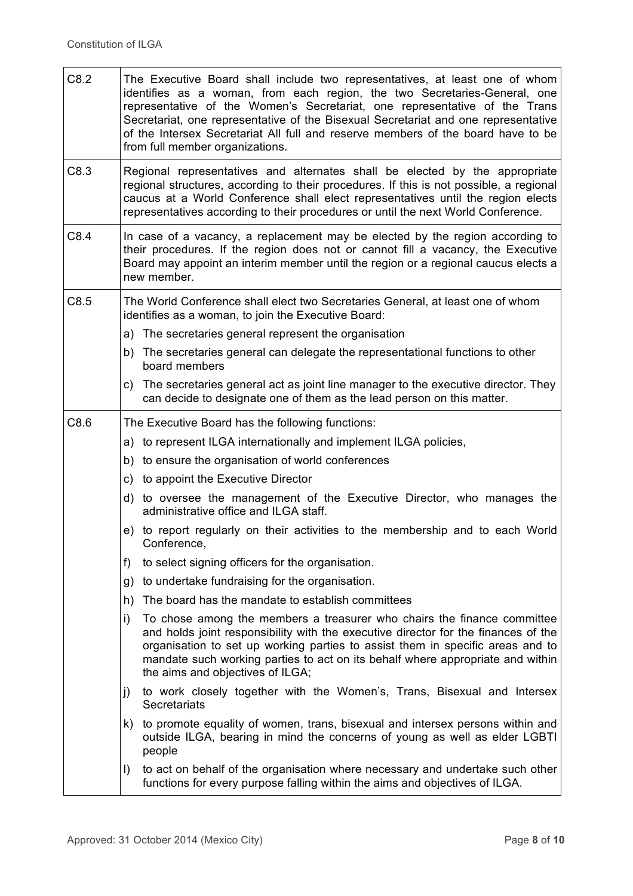| C8.2 | The Executive Board shall include two representatives, at least one of whom<br>identifies as a woman, from each region, the two Secretaries-General, one<br>representative of the Women's Secretariat, one representative of the Trans<br>Secretariat, one representative of the Bisexual Secretariat and one representative<br>of the Intersex Secretariat All full and reserve members of the board have to be<br>from full member organizations. |
|------|-----------------------------------------------------------------------------------------------------------------------------------------------------------------------------------------------------------------------------------------------------------------------------------------------------------------------------------------------------------------------------------------------------------------------------------------------------|
| C8.3 | Regional representatives and alternates shall be elected by the appropriate<br>regional structures, according to their procedures. If this is not possible, a regional<br>caucus at a World Conference shall elect representatives until the region elects<br>representatives according to their procedures or until the next World Conference.                                                                                                     |
| C8.4 | In case of a vacancy, a replacement may be elected by the region according to<br>their procedures. If the region does not or cannot fill a vacancy, the Executive<br>Board may appoint an interim member until the region or a regional caucus elects a<br>new member.                                                                                                                                                                              |
| C8.5 | The World Conference shall elect two Secretaries General, at least one of whom<br>identifies as a woman, to join the Executive Board:                                                                                                                                                                                                                                                                                                               |
|      | a) The secretaries general represent the organisation                                                                                                                                                                                                                                                                                                                                                                                               |
|      | b) The secretaries general can delegate the representational functions to other<br>board members                                                                                                                                                                                                                                                                                                                                                    |
|      | The secretaries general act as joint line manager to the executive director. They<br>C)<br>can decide to designate one of them as the lead person on this matter.                                                                                                                                                                                                                                                                                   |
| C8.6 | The Executive Board has the following functions:                                                                                                                                                                                                                                                                                                                                                                                                    |
|      | a) to represent ILGA internationally and implement ILGA policies,                                                                                                                                                                                                                                                                                                                                                                                   |
|      | b) to ensure the organisation of world conferences                                                                                                                                                                                                                                                                                                                                                                                                  |
|      | c) to appoint the Executive Director                                                                                                                                                                                                                                                                                                                                                                                                                |
|      | d) to oversee the management of the Executive Director, who manages the<br>administrative office and ILGA staff.                                                                                                                                                                                                                                                                                                                                    |
|      | e) to report regularly on their activities to the membership and to each World<br>Conference,                                                                                                                                                                                                                                                                                                                                                       |
|      | to select signing officers for the organisation.<br>f)                                                                                                                                                                                                                                                                                                                                                                                              |
|      | to undertake fundraising for the organisation.<br>g)                                                                                                                                                                                                                                                                                                                                                                                                |
|      | The board has the mandate to establish committees<br>h)                                                                                                                                                                                                                                                                                                                                                                                             |
|      | To chose among the members a treasurer who chairs the finance committee<br>i)<br>and holds joint responsibility with the executive director for the finances of the<br>organisation to set up working parties to assist them in specific areas and to<br>mandate such working parties to act on its behalf where appropriate and within<br>the aims and objectives of ILGA;                                                                         |
|      | to work closely together with the Women's, Trans, Bisexual and Intersex<br>j)<br>Secretariats                                                                                                                                                                                                                                                                                                                                                       |
|      | to promote equality of women, trans, bisexual and intersex persons within and<br>k)<br>outside ILGA, bearing in mind the concerns of young as well as elder LGBTI<br>people                                                                                                                                                                                                                                                                         |
|      | to act on behalf of the organisation where necessary and undertake such other<br>$\vert$<br>functions for every purpose falling within the aims and objectives of ILGA.                                                                                                                                                                                                                                                                             |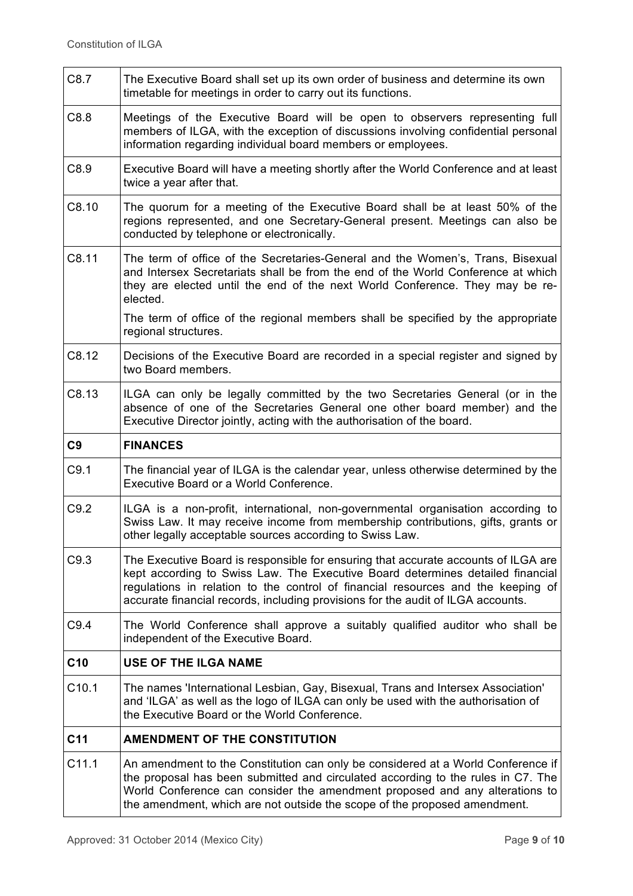| C8.7            | The Executive Board shall set up its own order of business and determine its own<br>timetable for meetings in order to carry out its functions.                                                                                                                                                                                              |
|-----------------|----------------------------------------------------------------------------------------------------------------------------------------------------------------------------------------------------------------------------------------------------------------------------------------------------------------------------------------------|
| C8.8            | Meetings of the Executive Board will be open to observers representing full<br>members of ILGA, with the exception of discussions involving confidential personal<br>information regarding individual board members or employees.                                                                                                            |
| C8.9            | Executive Board will have a meeting shortly after the World Conference and at least<br>twice a year after that.                                                                                                                                                                                                                              |
| C8.10           | The quorum for a meeting of the Executive Board shall be at least 50% of the<br>regions represented, and one Secretary-General present. Meetings can also be<br>conducted by telephone or electronically.                                                                                                                                    |
| C8.11           | The term of office of the Secretaries-General and the Women's, Trans, Bisexual<br>and Intersex Secretariats shall be from the end of the World Conference at which<br>they are elected until the end of the next World Conference. They may be re-<br>elected.                                                                               |
|                 | The term of office of the regional members shall be specified by the appropriate<br>regional structures.                                                                                                                                                                                                                                     |
| C8.12           | Decisions of the Executive Board are recorded in a special register and signed by<br>two Board members.                                                                                                                                                                                                                                      |
| C8.13           | ILGA can only be legally committed by the two Secretaries General (or in the<br>absence of one of the Secretaries General one other board member) and the<br>Executive Director jointly, acting with the authorisation of the board.                                                                                                         |
| C <sub>9</sub>  | <b>FINANCES</b>                                                                                                                                                                                                                                                                                                                              |
| C9.1            | The financial year of ILGA is the calendar year, unless otherwise determined by the<br>Executive Board or a World Conference.                                                                                                                                                                                                                |
| C9.2            | ILGA is a non-profit, international, non-governmental organisation according to<br>Swiss Law. It may receive income from membership contributions, gifts, grants or<br>other legally acceptable sources according to Swiss Law.                                                                                                              |
| C9.3            | The Executive Board is responsible for ensuring that accurate accounts of ILGA are<br>kept according to Swiss Law. The Executive Board determines detailed financial<br>regulations in relation to the control of financial resources and the keeping of<br>accurate financial records, including provisions for the audit of ILGA accounts. |
| C9.4            | The World Conference shall approve a suitably qualified auditor who shall be<br>independent of the Executive Board.                                                                                                                                                                                                                          |
| C <sub>10</sub> | <b>USE OF THE ILGA NAME</b>                                                                                                                                                                                                                                                                                                                  |
| C10.1           | The names 'International Lesbian, Gay, Bisexual, Trans and Intersex Association'<br>and 'ILGA' as well as the logo of ILGA can only be used with the authorisation of<br>the Executive Board or the World Conference.                                                                                                                        |
| C <sub>11</sub> | <b>AMENDMENT OF THE CONSTITUTION</b>                                                                                                                                                                                                                                                                                                         |
| C11.1           | An amendment to the Constitution can only be considered at a World Conference if                                                                                                                                                                                                                                                             |